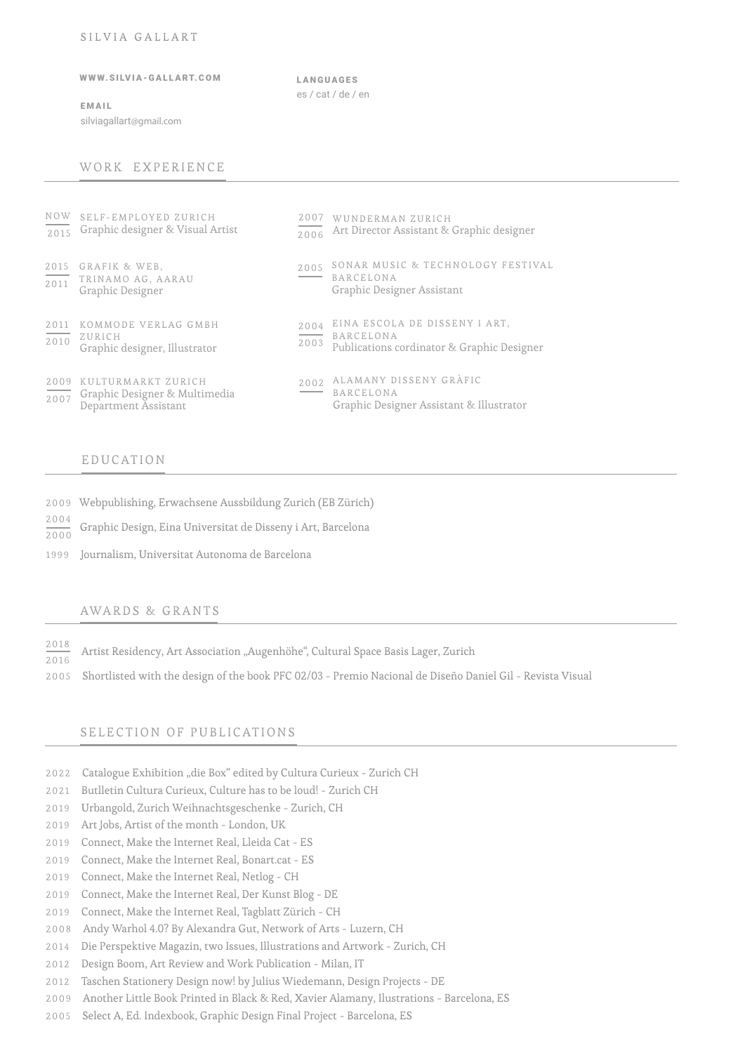#### SILVIA GALLART

## WWW.SILVIA - GALLART.COM

EMAIL

silviagallart@gmail.com

LANGUAGES es / cat / de / en

# WORK EXPERIENCE

| $\frac{1}{2015}$         | NOW SELF-EMPLOYED ZURICH<br>Graphic designer & Visual Artist                | 2007<br>2006 | WUNDERMAN ZURICH<br>Art Director Assistant & Graphic designer                            |
|--------------------------|-----------------------------------------------------------------------------|--------------|------------------------------------------------------------------------------------------|
| 2015<br>$\frac{1}{2011}$ | GRAFIK & WEB,<br>TRINAMO AG, AARAU<br>Graphic Designer                      | 2005         | SONAR MUSIC & TECHNOLOGY FESTIVAL<br><b>BARCELONA</b><br>Graphic Designer Assistant      |
| 2011<br>2010             | KOMMODE VERLAG GMBH<br>ZURICH<br>Graphic designer, Illustrator              | 2004<br>2003 | EINA ESCOLA DE DISSENY I ART,<br>BARCELONA<br>Publications cordinator & Graphic Designer |
| 2009<br>$\frac{1}{2007}$ | KULTURMARKT ZURICH<br>Graphic Designer & Multimedia<br>Department Assistant | 2002         | ALAMANY DISSENY GRÀFIC<br><b>BARCELONA</b><br>Graphic Designer Assistant & Illustrator   |

## EDUCATION

- 2009 Webpublishing, Erwachsene Aussbildung Zurich (EB Zürich)
- 2004  $\frac{2000}{2000}$  Graphic Design, Eina Universitat de Disseny i Art, Barcelona
- 1999 Journalism, Universitat Autonoma de Barcelona

#### AWARDS & GRANTS

- 2018 2016 Artist Residency, Art Association "Augenhöhe", Cultural Space Basis Lager, Zurich
- 2005 Shortlisted with the design of the book PFC 02/03 Premio Nacional de Diseño Daniel Gil Revista Visual

# SELECTION OF PUBLICATIONS

- 2022 Catalogue Exhibition "die Box" edited by Cultura Curieux Zurich CH
- 2021 Butlletin Cultura Curieux, Culture has to be loud! Zurich CH
- 2019 Urbangold, Zurich Weihnachtsgeschenke Zurich, CH
- 2019 Art Jobs, Artist of the month London, UK
- 2019 Connect, Make the Internet Real, Lleida Cat ES
- 2019 Connect, Make the Internet Real, Bonart.cat ES
- 2019 Connect, Make the Internet Real, Netlog CH
- 2019 Connect, Make the Internet Real, Der Kunst Blog DE
- 2019 Connect, Make the Internet Real, Tagblatt Zürich CH
- 2008 Andy Warhol 4.0? By Alexandra Gut, Network of Arts Luzern, CH
- 2014 Die Perspektive Magazin, two Issues, Illustrations and Artwork Zurich, CH
- 2012 Design Boom, Art Review and Work Publication Milan, IT
- 2012 Taschen Stationery Design now! by Julius Wiedemann, Design Projects DE
- 2009 Another Little Book Printed in Black & Red, Xavier Alamany, Ilustrations Barcelona, ES
- 2005 Select A, Ed. Indexbook, Graphic Design Final Project Barcelona, ES